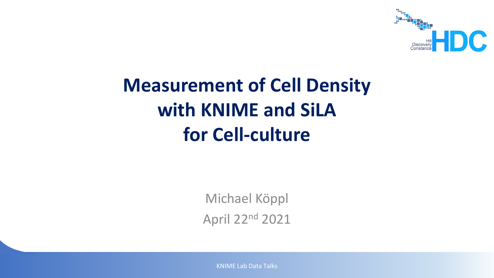

# **Measurement of Cell Density with KNIME and SiLA for Cell-culture**

Michael Köppl April 22nd 2021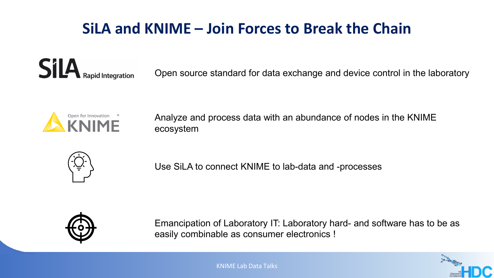### **SiLA and KNIME – Join Forces to Break the Chain**

**SilA** Rapid Integration

Open source standard for data exchange and device control in the laboratory



Analyze and process data with an abundance of nodes in the KNIME ecosystem



Use SiLA to connect KNIME to lab-data and -processes



Emancipation of Laboratory IT: Laboratory hard- and software has to be as easily combinable as consumer electronics !

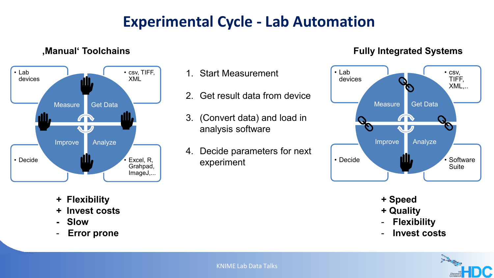### **Experimental Cycle - Lab Automation**

#### • Lab • csv, TIFF, devices XML ri II Measure Get Data **Alli**  $\blacksquare$ Improve Analyze • Decide Excel, R, Grahpad, ImageJ,...

**'Manual' Toolchains**

- **+ Flexibility**
- **+ Invest costs**
- **- Slow**
- **Error prone**

#### 1. Start Measurement

- 2. Get result data from device
- 3. (Convert data) and load in analysis software
- 4. Decide parameters for next experiment

#### **Fully Integrated Systems**



- **+ Speed**
- **+ Quality**
- **Flexibility**
- **Invest costs**

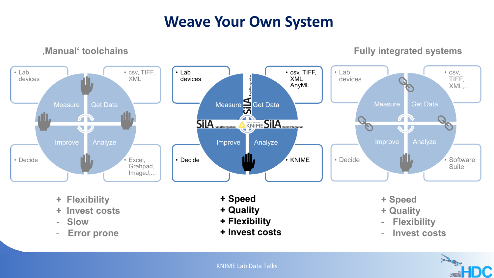#### **Weave Your Own System**

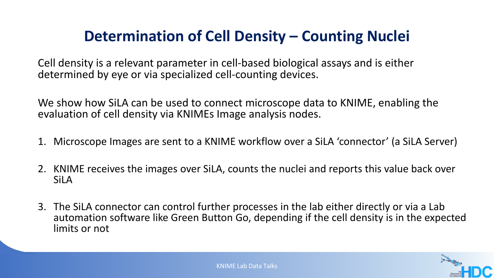### **Determination of Cell Density – Counting Nuclei**

Cell density is a relevant parameter in cell-based biological assays and is either determined by eye or via specialized cell-counting devices.

We show how SiLA can be used to connect microscope data to KNIME, enabling the evaluation of cell density via KNIMEs Image analysis nodes.

- 1. Microscope Images are sent to a KNIME workflow over a SiLA 'connector' (a SiLA Server)
- 2. KNIME receives the images over SiLA, counts the nuclei and reports this value back over SiLA
- 3. The SiLA connector can control further processes in the lab either directly or via a Lab automation software like Green Button Go, depending if the cell density is in the expected limits or not

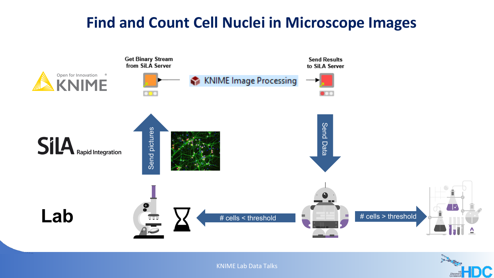#### **Find and Count Cell Nuclei in Microscope Images**



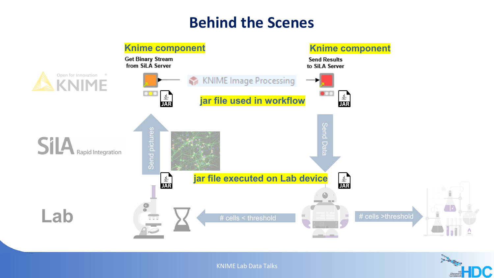#### **Behind the Scenes**



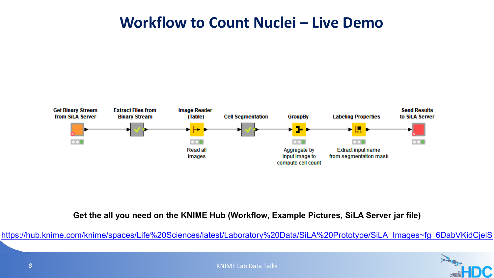#### **Workflow to Count Nuclei – Live Demo**



**Get the all you need on the KNIME Hub (Workflow, Example Pictures, SiLA Server jar file)**

[https://hub.knime.com/knime/spaces/Life%20Sciences/latest/Laboratory%20Data/SiLA%20Prototype/SiLA\\_Images~fg\\_6DabVKidCjelS](https://hub.knime.com/knime/spaces/Life%20Sciences/latest/Laboratory%20Data/SiLA%20Prototype/SiLA_Images%7Efg_6DabVKidCjelS)